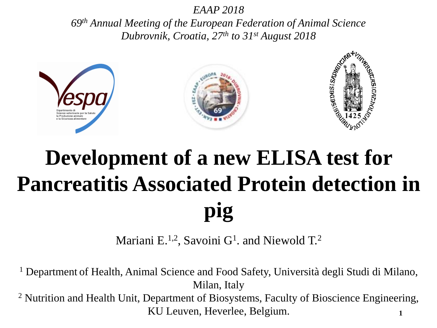*EAAP 2018*

*69th Annual Meeting of the European Federation of Animal Science Dubrovnik, Croatia, 27th to 31st August 2018*



### **Development of a new ELISA test for Pancreatitis Associated Protein detection in pig**

Mariani E.<sup>1,2</sup>, Savoini G<sup>1</sup>. and Niewold T.<sup>2</sup>

<sup>1</sup> Department of Health, Animal Science and Food Safety, Università degli Studi di Milano, Milan, Italy <sup>2</sup> Nutrition and Health Unit, Department of Biosystems, Faculty of Bioscience Engineering, KU Leuven, Heverlee, Belgium. **1**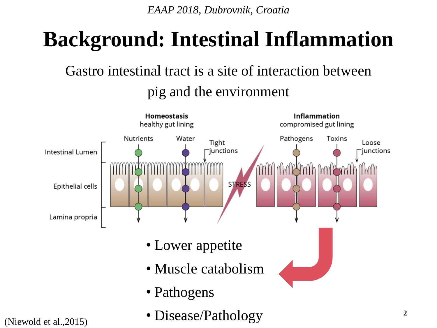#### **Background: Intestinal Inflammation**

#### Gastro intestinal tract is a site of interaction between pig and the environment

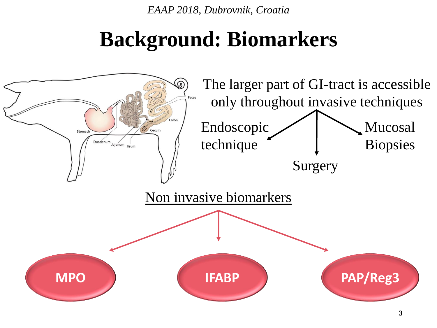#### **Background: Biomarkers**

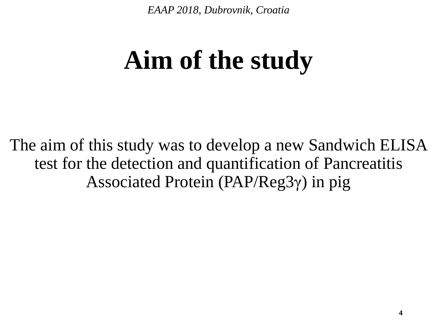# **Aim of the study**

The aim of this study was to develop a new Sandwich ELISA test for the detection and quantification of Pancreatitis Associated Protein (PAP/Reg3γ) in pig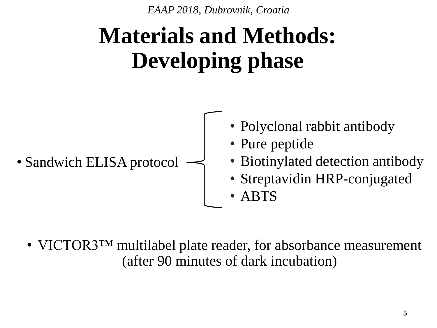## **Materials and Methods: Developing phase**



• VICTOR3<sup>TM</sup> multilabel plate reader, for absorbance measurement (after 90 minutes of dark incubation)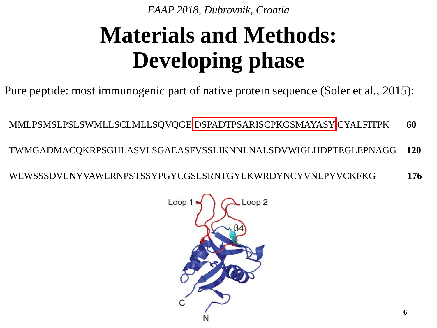### **Materials and Methods: Developing phase**

Pure peptide: most immunogenic part of native protein sequence (Soler et al., 2015):

MMLPSMSLPSLSWMLLSCLMLLSQVQGE DSPADTPSARISCPKGSMAYASY CYALFITPK **60**

TWMGADMACQKRPSGHLASVLSGAEASFVSSLIKNNLNALSDVWIGLHDPTEGLEPNAGG **120**

WEWSSSDVLNYVAWERNPSTSSYPGYCGSLSRNTGYLKWRDYNCYVNLPYVCKFKG **176**

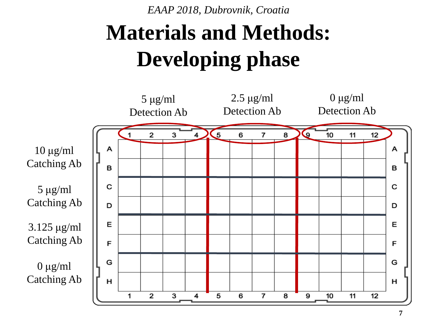## **Materials and Methods: Developing phase**

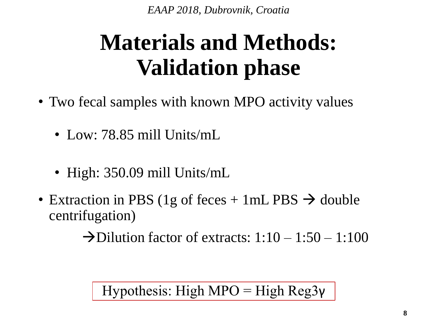#### **Materials and Methods: Validation phase**

- Two fecal samples with known MPO activity values
	- Low: 78.85 mill Units/mL
	- High: 350.09 mill Units/mL
- Extraction in PBS (1g of feces + 1mL PBS  $\rightarrow$  double centrifugation)

 $\rightarrow$ Dilution factor of extracts: 1:10 – 1:50 – 1:100

Hypothesis: High MPO = High Reg3 $\gamma$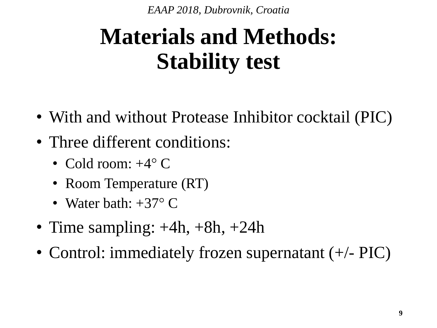### **Materials and Methods: Stability test**

- With and without Protease Inhibitor cocktail (PIC)
- Three different conditions:
	- Cold room:  $+4^{\circ}$  C
	- Room Temperature (RT)
	- Water bath:  $+37^{\circ}$  C
- Time sampling:  $+4h$ ,  $+8h$ ,  $+24h$
- Control: immediately frozen supernatant (+/- PIC)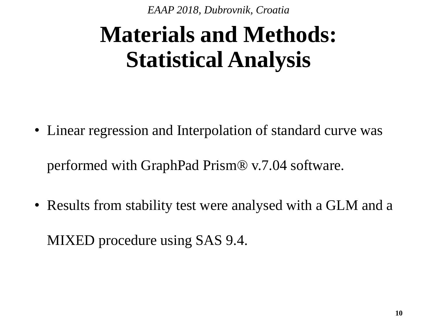### **Materials and Methods: Statistical Analysis**

- Linear regression and Interpolation of standard curve was performed with GraphPad Prism® v.7.04 software.
- Results from stability test were analysed with a GLM and a

MIXED procedure using SAS 9.4.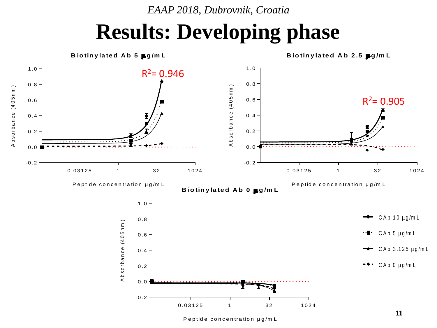#### **Results: Developing phase**



Peptide concentration µg/m L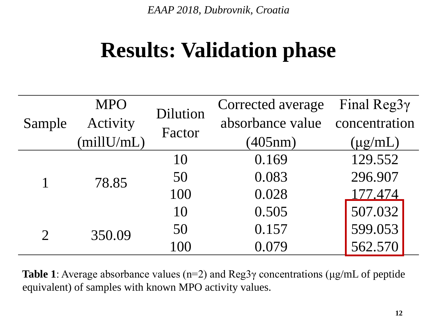#### **Results: Validation phase**

| Sample                      | <b>MPO</b>      | Dilution<br>Factor | Corrected average              | Final Reg3 $\gamma$ |
|-----------------------------|-----------------|--------------------|--------------------------------|---------------------|
|                             | Activity        |                    | absorbance value concentration |                     |
|                             | (millU/mL)      |                    | (405nm)                        | $(\mu g/mL)$        |
| $\mathcal{D}_{\mathcal{L}}$ | 78.85<br>350.09 | 10                 | 0.169                          | 129.552             |
|                             |                 | 50                 | 0.083                          | 296.907             |
|                             |                 | 100                | 0.028                          | 177.474             |
|                             |                 | 10                 | 0.505                          | 507.032             |
|                             |                 | 50                 | 0.157                          | 599.053             |
|                             |                 | 100                | 0.079                          | 562.570             |

**Table 1**: Average absorbance values (n=2) and Reg3γ concentrations (μg/mL of peptide equivalent) of samples with known MPO activity values.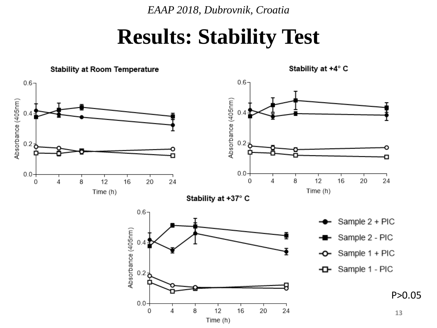#### **Results: Stability Test**

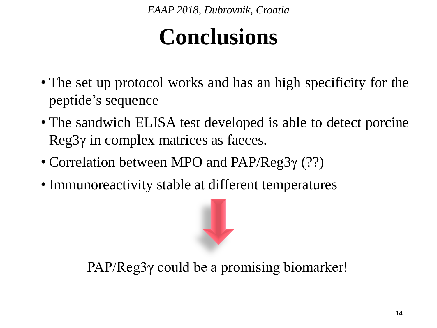#### **Conclusions**

- The set up protocol works and has an high specificity for the peptide's sequence
- The sandwich ELISA test developed is able to detect porcine Reg3γ in complex matrices as faeces.
- Correlation between MPO and PAP/Reg3γ (??)
- Immunoreactivity stable at different temperatures